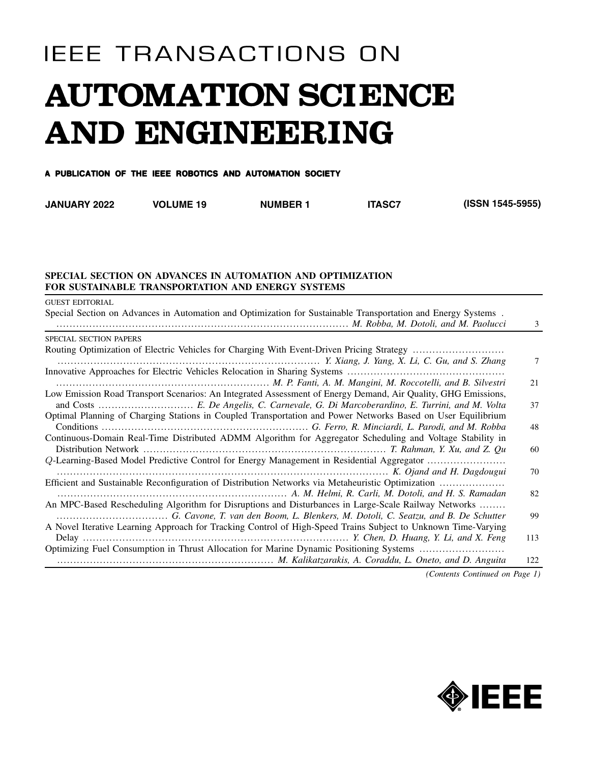# **IEEE TRANSACTIONS ON AUTOMATION SCIENCE** AND ENGINEERING

#### A PUBLICATION OF THE IEEE ROBOTICS AND AUTOMATION SOCIETY

| <b>JANUARY 2022</b> | <b>VOLUME 19</b> | <b>NUMBER 1</b> | <b>ITASC</b> | (ISSN 1545-5955) |
|---------------------|------------------|-----------------|--------------|------------------|
|---------------------|------------------|-----------------|--------------|------------------|

### **SPECIAL SECTION ON ADVANCES IN AUTOMATION AND OPTIMIZATION FOR SUSTAINABLE TRANSPORTATION AND ENERGY SYSTEMS**

| <b>GUEST EDITORIAL</b>                                                                                        |     |
|---------------------------------------------------------------------------------------------------------------|-----|
| Special Section on Advances in Automation and Optimization for Sustainable Transportation and Energy Systems. | 3   |
| SPECIAL SECTION PAPERS                                                                                        |     |
|                                                                                                               |     |
|                                                                                                               | 7   |
|                                                                                                               |     |
|                                                                                                               | 21  |
| Low Emission Road Transport Scenarios: An Integrated Assessment of Energy Demand, Air Quality, GHG Emissions, |     |
|                                                                                                               | 37  |
| Optimal Planning of Charging Stations in Coupled Transportation and Power Networks Based on User Equilibrium  |     |
|                                                                                                               | 48  |
| Continuous-Domain Real-Time Distributed ADMM Algorithm for Aggregator Scheduling and Voltage Stability in     |     |
|                                                                                                               | 60  |
| Q-Learning-Based Model Predictive Control for Energy Management in Residential Aggregator                     |     |
|                                                                                                               | 70  |
| Efficient and Sustainable Reconfiguration of Distribution Networks via Metaheuristic Optimization             |     |
|                                                                                                               | 82  |
| An MPC-Based Rescheduling Algorithm for Disruptions and Disturbances in Large-Scale Railway Networks          |     |
|                                                                                                               | 99  |
| A Novel Iterative Learning Approach for Tracking Control of High-Speed Trains Subject to Unknown Time-Varying |     |
|                                                                                                               | 113 |
| Optimizing Fuel Consumption in Thrust Allocation for Marine Dynamic Positioning Systems                       |     |
|                                                                                                               | 122 |
| $\alpha$ and $\alpha$ and $\alpha$                                                                            |     |

*(Contents Continued on Page 1)*

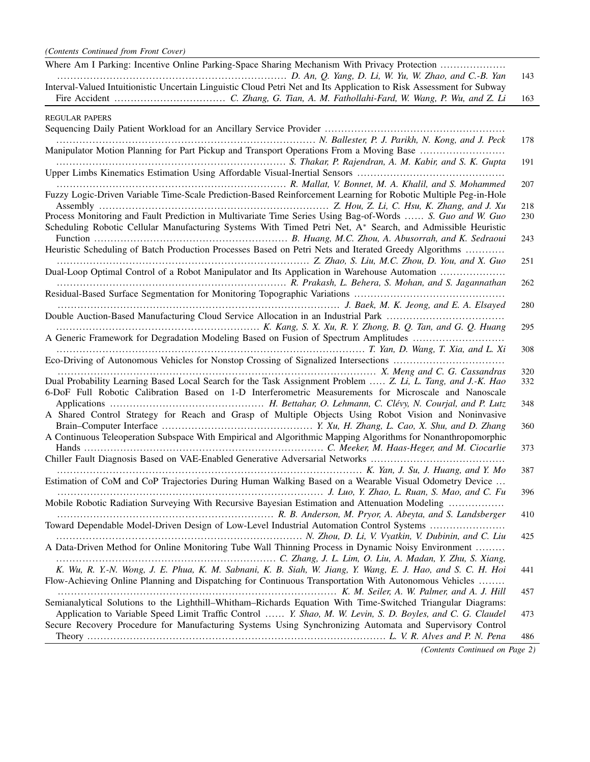| Where Am I Parking: Incentive Online Parking-Space Sharing Mechanism With Privacy Protection                                                                                                                             | 143 |
|--------------------------------------------------------------------------------------------------------------------------------------------------------------------------------------------------------------------------|-----|
| Interval-Valued Intuitionistic Uncertain Linguistic Cloud Petri Net and Its Application to Risk Assessment for Subway                                                                                                    |     |
|                                                                                                                                                                                                                          | 163 |
| <b>REGULAR PAPERS</b>                                                                                                                                                                                                    |     |
| Manipulator Motion Planning for Part Pickup and Transport Operations From a Moving Base                                                                                                                                  | 178 |
|                                                                                                                                                                                                                          | 191 |
| Fuzzy Logic-Driven Variable Time-Scale Prediction-Based Reinforcement Learning for Robotic Multiple Peg-in-Hole                                                                                                          | 207 |
|                                                                                                                                                                                                                          | 218 |
| Process Monitoring and Fault Prediction in Multivariate Time Series Using Bag-of-Words  S. Guo and W. Guo<br>Scheduling Robotic Cellular Manufacturing Systems With Timed Petri Net, A* Search, and Admissible Heuristic | 230 |
|                                                                                                                                                                                                                          | 243 |
| Heuristic Scheduling of Batch Production Processes Based on Petri Nets and Iterated Greedy Algorithms                                                                                                                    |     |
|                                                                                                                                                                                                                          | 251 |
| Dual-Loop Optimal Control of a Robot Manipulator and Its Application in Warehouse Automation                                                                                                                             |     |
|                                                                                                                                                                                                                          | 262 |
|                                                                                                                                                                                                                          |     |
|                                                                                                                                                                                                                          | 280 |
|                                                                                                                                                                                                                          | 295 |
| A Generic Framework for Degradation Modeling Based on Fusion of Spectrum Amplitudes                                                                                                                                      |     |
|                                                                                                                                                                                                                          | 308 |
|                                                                                                                                                                                                                          |     |
|                                                                                                                                                                                                                          | 320 |
| Dual Probability Learning Based Local Search for the Task Assignment Problem  Z. Li, L. Tang, and J.-K. Hao                                                                                                              | 332 |
| 6-DoF Full Robotic Calibration Based on 1-D Interferometric Measurements for Microscale and Nanoscale                                                                                                                    | 348 |
| A Shared Control Strategy for Reach and Grasp of Multiple Objects Using Robot Vision and Noninvasive                                                                                                                     |     |
|                                                                                                                                                                                                                          | 360 |
| A Continuous Teleoperation Subspace With Empirical and Algorithmic Mapping Algorithms for Nonanthropomorphic                                                                                                             |     |
|                                                                                                                                                                                                                          | 373 |
|                                                                                                                                                                                                                          |     |
|                                                                                                                                                                                                                          | 387 |
| Estimation of CoM and CoP Trajectories During Human Walking Based on a Wearable Visual Odometry Device                                                                                                                   |     |
| Mobile Robotic Radiation Surveying With Recursive Bayesian Estimation and Attenuation Modeling                                                                                                                           | 396 |
|                                                                                                                                                                                                                          | 410 |
| Toward Dependable Model-Driven Design of Low-Level Industrial Automation Control Systems                                                                                                                                 |     |
| A Data-Driven Method for Online Monitoring Tube Wall Thinning Process in Dynamic Noisy Environment                                                                                                                       | 425 |
| K. Wu, R. Y.-N. Wong, J. E. Phua, K. M. Sabnani, K. B. Siah, W. Jiang, Y. Wang, E. J. Hao, and S. C. H. Hoi                                                                                                              | 441 |
| Flow-Achieving Online Planning and Dispatching for Continuous Transportation With Autonomous Vehicles                                                                                                                    |     |
|                                                                                                                                                                                                                          | 457 |
| Semianalytical Solutions to the Lighthill–Whitham–Richards Equation With Time-Switched Triangular Diagrams:                                                                                                              |     |
| Application to Variable Speed Limit Traffic Control  Y. Shao, M. W. Levin, S. D. Boyles, and C. G. Claudel                                                                                                               | 473 |
| Secure Recovery Procedure for Manufacturing Systems Using Synchronizing Automata and Supervisory Control                                                                                                                 |     |
|                                                                                                                                                                                                                          | 486 |

*(Contents Continued on Page 2)*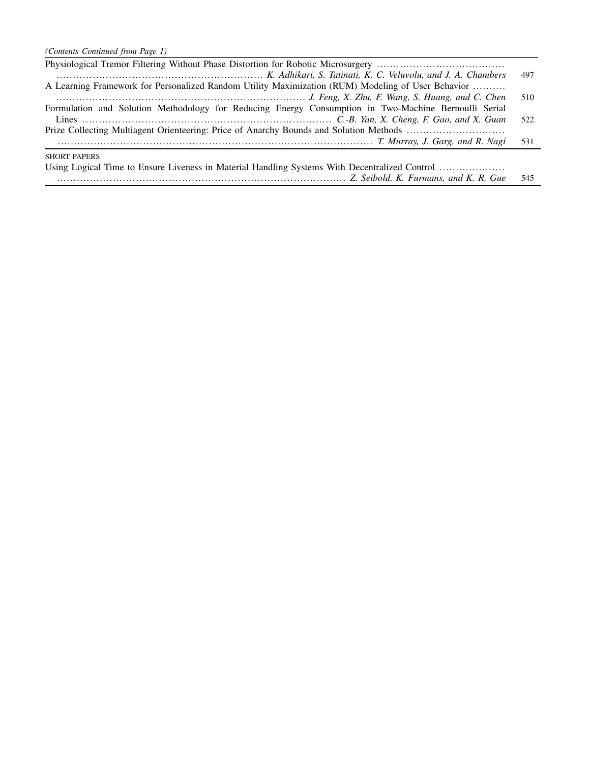| K. Adhikari, S. Tatinati, K. C. Veluvolu, and J. A. Chambers                                         | 497 |
|------------------------------------------------------------------------------------------------------|-----|
| A Learning Framework for Personalized Random Utility Maximization (RUM) Modeling of User Behavior    |     |
|                                                                                                      | 510 |
| Formulation and Solution Methodology for Reducing Energy Consumption in Two-Machine Bernoulli Serial |     |
|                                                                                                      | 522 |
|                                                                                                      |     |
| T. Murray, J. Garg, and R. Nagi                                                                      | 531 |
| <b>SHORT PAPERS</b>                                                                                  |     |
| Using Logical Time to Ensure Liveness in Material Handling Systems With Decentralized Control        |     |
|                                                                                                      | 545 |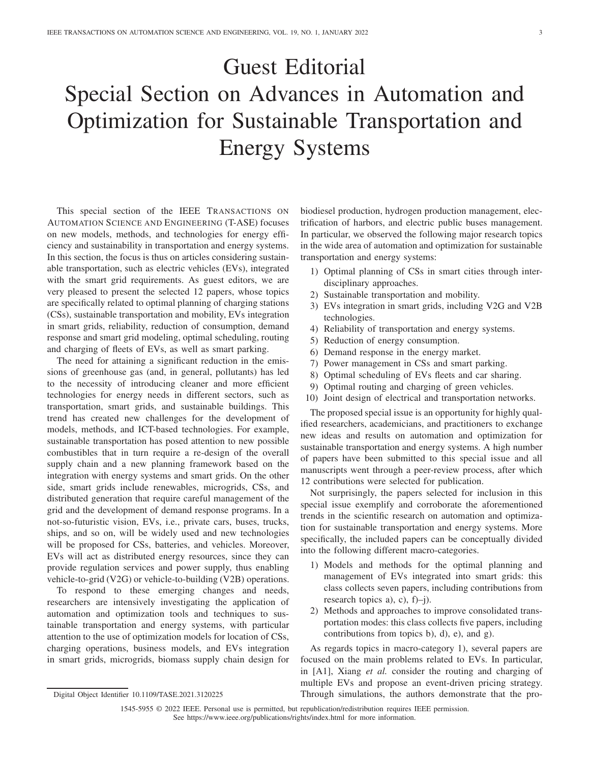## Guest Editorial Special Section on Advances in Automation and Optimization for Sustainable Transportation and Energy Systems

This special section of the IEEE TRANSACTIONS ON AUTOMATION SCIENCE AND ENGINEERING (T-ASE) focuses on new models, methods, and technologies for energy efficiency and sustainability in transportation and energy systems. In this section, the focus is thus on articles considering sustainable transportation, such as electric vehicles (EVs), integrated with the smart grid requirements. As guest editors, we are very pleased to present the selected 12 papers, whose topics are specifically related to optimal planning of charging stations (CSs), sustainable transportation and mobility, EVs integration in smart grids, reliability, reduction of consumption, demand response and smart grid modeling, optimal scheduling, routing and charging of fleets of EVs, as well as smart parking.

The need for attaining a significant reduction in the emissions of greenhouse gas (and, in general, pollutants) has led to the necessity of introducing cleaner and more efficient technologies for energy needs in different sectors, such as transportation, smart grids, and sustainable buildings. This trend has created new challenges for the development of models, methods, and ICT-based technologies. For example, sustainable transportation has posed attention to new possible combustibles that in turn require a re-design of the overall supply chain and a new planning framework based on the integration with energy systems and smart grids. On the other side, smart grids include renewables, microgrids, CSs, and distributed generation that require careful management of the grid and the development of demand response programs. In a not-so-futuristic vision, EVs, i.e., private cars, buses, trucks, ships, and so on, will be widely used and new technologies will be proposed for CSs, batteries, and vehicles. Moreover, EVs will act as distributed energy resources, since they can provide regulation services and power supply, thus enabling vehicle-to-grid (V2G) or vehicle-to-building (V2B) operations.

To respond to these emerging changes and needs, researchers are intensively investigating the application of automation and optimization tools and techniques to sustainable transportation and energy systems, with particular attention to the use of optimization models for location of CSs, charging operations, business models, and EVs integration in smart grids, microgrids, biomass supply chain design for biodiesel production, hydrogen production management, electrification of harbors, and electric public buses management. In particular, we observed the following major research topics in the wide area of automation and optimization for sustainable transportation and energy systems:

- 1) Optimal planning of CSs in smart cities through interdisciplinary approaches.
- 2) Sustainable transportation and mobility.
- 3) EVs integration in smart grids, including V2G and V2B technologies.
- 4) Reliability of transportation and energy systems.
- 5) Reduction of energy consumption.
- 6) Demand response in the energy market.
- 7) Power management in CSs and smart parking.
- 8) Optimal scheduling of EVs fleets and car sharing.
- 9) Optimal routing and charging of green vehicles.
- 10) Joint design of electrical and transportation networks.

The proposed special issue is an opportunity for highly qualified researchers, academicians, and practitioners to exchange new ideas and results on automation and optimization for sustainable transportation and energy systems. A high number of papers have been submitted to this special issue and all manuscripts went through a peer-review process, after which 12 contributions were selected for publication.

Not surprisingly, the papers selected for inclusion in this special issue exemplify and corroborate the aforementioned trends in the scientific research on automation and optimization for sustainable transportation and energy systems. More specifically, the included papers can be conceptually divided into the following different macro-categories.

- 1) Models and methods for the optimal planning and management of EVs integrated into smart grids: this class collects seven papers, including contributions from research topics a), c),  $f$  $\rightarrow$  $i$ ).
- 2) Methods and approaches to improve consolidated transportation modes: this class collects five papers, including contributions from topics b), d), e), and g).

As regards topics in macro-category 1), several papers are focused on the main problems related to EVs. In particular, in [A1], Xiang *et al.* consider the routing and charging of multiple EVs and propose an event-driven pricing strategy. Through simulations, the authors demonstrate that the pro-

1545-5955 © 2022 IEEE. Personal use is permitted, but republication/redistribution requires IEEE permission. See https://www.ieee.org/publications/rights/index.html for more information.

Digital Object Identifier 10.1109/TASE.2021.3120225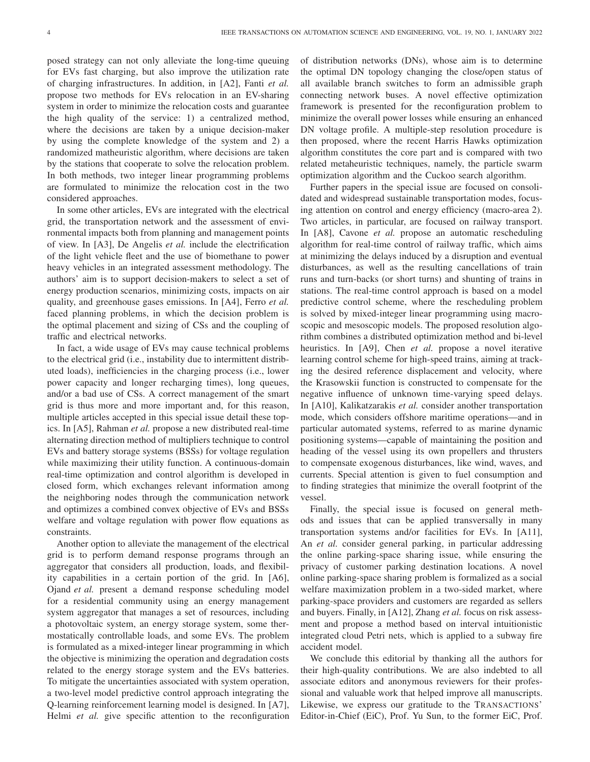posed strategy can not only alleviate the long-time queuing for EVs fast charging, but also improve the utilization rate of charging infrastructures. In addition, in [A2], Fanti *et al.* propose two methods for EVs relocation in an EV-sharing system in order to minimize the relocation costs and guarantee the high quality of the service: 1) a centralized method, where the decisions are taken by a unique decision-maker by using the complete knowledge of the system and 2) a randomized matheuristic algorithm, where decisions are taken by the stations that cooperate to solve the relocation problem. In both methods, two integer linear programming problems are formulated to minimize the relocation cost in the two considered approaches.

In some other articles, EVs are integrated with the electrical grid, the transportation network and the assessment of environmental impacts both from planning and management points of view. In [A3], De Angelis *et al.* include the electrification of the light vehicle fleet and the use of biomethane to power heavy vehicles in an integrated assessment methodology. The authors' aim is to support decision-makers to select a set of energy production scenarios, minimizing costs, impacts on air quality, and greenhouse gases emissions. In [A4], Ferro *et al.* faced planning problems, in which the decision problem is the optimal placement and sizing of CSs and the coupling of traffic and electrical networks.

In fact, a wide usage of EVs may cause technical problems to the electrical grid (i.e., instability due to intermittent distributed loads), inefficiencies in the charging process (i.e., lower power capacity and longer recharging times), long queues, and/or a bad use of CSs. A correct management of the smart grid is thus more and more important and, for this reason, multiple articles accepted in this special issue detail these topics. In [A5], Rahman *et al.* propose a new distributed real-time alternating direction method of multipliers technique to control EVs and battery storage systems (BSSs) for voltage regulation while maximizing their utility function. A continuous-domain real-time optimization and control algorithm is developed in closed form, which exchanges relevant information among the neighboring nodes through the communication network and optimizes a combined convex objective of EVs and BSSs welfare and voltage regulation with power flow equations as constraints.

Another option to alleviate the management of the electrical grid is to perform demand response programs through an aggregator that considers all production, loads, and flexibility capabilities in a certain portion of the grid. In [A6], Ojand *et al.* present a demand response scheduling model for a residential community using an energy management system aggregator that manages a set of resources, including a photovoltaic system, an energy storage system, some thermostatically controllable loads, and some EVs. The problem is formulated as a mixed-integer linear programming in which the objective is minimizing the operation and degradation costs related to the energy storage system and the EVs batteries. To mitigate the uncertainties associated with system operation, a two-level model predictive control approach integrating the Q-learning reinforcement learning model is designed. In [A7], Helmi *et al.* give specific attention to the reconfiguration of distribution networks (DNs), whose aim is to determine the optimal DN topology changing the close/open status of all available branch switches to form an admissible graph connecting network buses. A novel effective optimization framework is presented for the reconfiguration problem to minimize the overall power losses while ensuring an enhanced DN voltage profile. A multiple-step resolution procedure is then proposed, where the recent Harris Hawks optimization algorithm constitutes the core part and is compared with two related metaheuristic techniques, namely, the particle swarm optimization algorithm and the Cuckoo search algorithm.

Further papers in the special issue are focused on consolidated and widespread sustainable transportation modes, focusing attention on control and energy efficiency (macro-area 2). Two articles, in particular, are focused on railway transport. In [A8], Cavone *et al.* propose an automatic rescheduling algorithm for real-time control of railway traffic, which aims at minimizing the delays induced by a disruption and eventual disturbances, as well as the resulting cancellations of train runs and turn-backs (or short turns) and shunting of trains in stations. The real-time control approach is based on a model predictive control scheme, where the rescheduling problem is solved by mixed-integer linear programming using macroscopic and mesoscopic models. The proposed resolution algorithm combines a distributed optimization method and bi-level heuristics. In [A9], Chen *et al.* propose a novel iterative learning control scheme for high-speed trains, aiming at tracking the desired reference displacement and velocity, where the Krasowskii function is constructed to compensate for the negative influence of unknown time-varying speed delays. In [A10], Kalikatzarakis *et al.* consider another transportation mode, which considers offshore maritime operations—and in particular automated systems, referred to as marine dynamic positioning systems—capable of maintaining the position and heading of the vessel using its own propellers and thrusters to compensate exogenous disturbances, like wind, waves, and currents. Special attention is given to fuel consumption and to finding strategies that minimize the overall footprint of the vessel.

Finally, the special issue is focused on general methods and issues that can be applied transversally in many transportation systems and/or facilities for EVs. In [A11], An *et al.* consider general parking, in particular addressing the online parking-space sharing issue, while ensuring the privacy of customer parking destination locations. A novel online parking-space sharing problem is formalized as a social welfare maximization problem in a two-sided market, where parking-space providers and customers are regarded as sellers and buyers. Finally, in [A12], Zhang *et al.* focus on risk assessment and propose a method based on interval intuitionistic integrated cloud Petri nets, which is applied to a subway fire accident model.

We conclude this editorial by thanking all the authors for their high-quality contributions. We are also indebted to all associate editors and anonymous reviewers for their professional and valuable work that helped improve all manuscripts. Likewise, we express our gratitude to the TRANSACTIONS' Editor-in-Chief (EiC), Prof. Yu Sun, to the former EiC, Prof.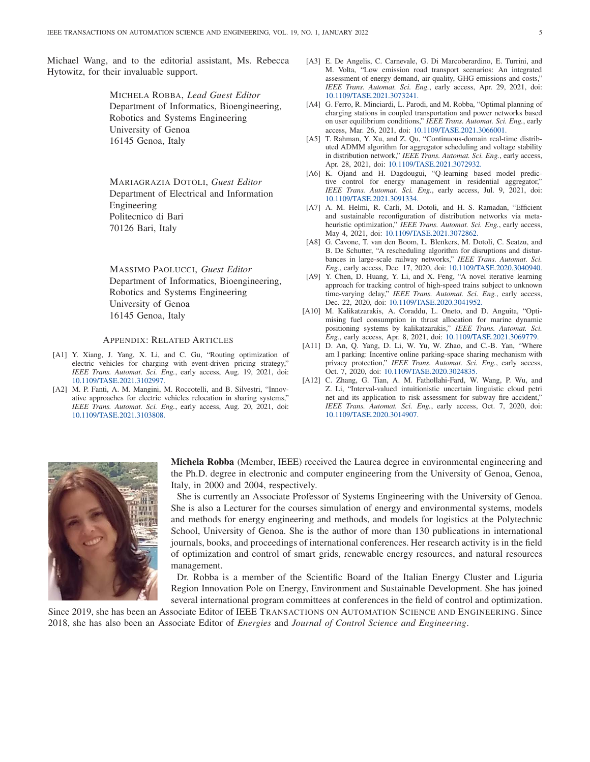Michael Wang, and to the editorial assistant, Ms. Rebecca Hytowitz, for their invaluable support.

> MICHELA ROBBA, *Lead Guest Editor* Department of Informatics, Bioengineering, Robotics and Systems Engineering University of Genoa 16145 Genoa, Italy

MARIAGRAZIA DOTOLI, *Guest Editor* Department of Electrical and Information Engineering Politecnico di Bari 70126 Bari, Italy

MASSIMO PAOLUCCI, *Guest Editor* Department of Informatics, Bioengineering, Robotics and Systems Engineering University of Genoa 16145 Genoa, Italy

#### APPENDIX: RELATED ARTICLES

- [A1] Y. Xiang, J. Yang, X. Li, and C. Gu, "Routing optimization of electric vehicles for charging with event-driven pricing strategy," *IEEE Trans. Automat. Sci. Eng.*, early access, Aug. 19, 2021, doi: [10.1109/TASE.2021.3102997.](http://dx.doi.org/10.1109/TASE.2021.3102997)
- [A2] M. P. Fanti, A. M. Mangini, M. Roccotelli, and B. Silvestri, "Innovative approaches for electric vehicles relocation in sharing systems," *IEEE Trans. Automat. Sci. Eng.*, early access, Aug. 20, 2021, doi: [10.1109/TASE.2021.3103808.](http://dx.doi.org/10.1109/TASE.2021.3103808)
- [A3] E. De Angelis, C. Carnevale, G. Di Marcoberardino, E. Turrini, and M. Volta, "Low emission road transport scenarios: An integrated assessment of energy demand, air quality, GHG emissions and costs," *IEEE Trans. Automat. Sci. Eng.*, early access, Apr. 29, 2021, doi: [10.1109/TASE.2021.3073241](http://dx.doi.org/10.1109/TASE.2021.3073241).
- [A4] G. Ferro, R. Minciardi, L. Parodi, and M. Robba, "Optimal planning of charging stations in coupled transportation and power networks based on user equilibrium conditions," *IEEE Trans. Automat. Sci. Eng.*, early access, Mar. 26, 2021, doi: [10.1109/TASE.2021.3066001](http://dx.doi.org/10.1109/TASE.2021.3066001).
- [A5] T. Rahman, Y. Xu, and Z. Qu, "Continuous-domain real-time distributed ADMM algorithm for aggregator scheduling and voltage stability in distribution network," *IEEE Trans. Automat. Sci. Eng.*, early access, Apr. 28, 2021, doi: [10.1109/TASE.2021.3072932.](http://dx.doi.org/10.1109/TASE.2021.3072932)
- [A6] K. Ojand and H. Dagdougui, "Q-learning based model predictive control for energy management in residential aggregator," *IEEE Trans. Automat. Sci. Eng.*, early access, Jul. 9, 2021, doi: [10.1109/TASE.2021.3091334.](http://dx.doi.org/10.1109/TASE.2021.3091334)
- [A7] A. M. Helmi, R. Carli, M. Dotoli, and H. S. Ramadan, "Efficient and sustainable reconfiguration of distribution networks via metaheuristic optimization," *IEEE Trans. Automat. Sci. Eng.*, early access, May 4, 2021, doi: [10.1109/TASE.2021.3072862.](http://dx.doi.org/10.1109/TASE.2021.3072862)
- [A8] G. Cavone, T. van den Boom, L. Blenkers, M. Dotoli, C. Seatzu, and B. De Schutter, "A rescheduling algorithm for disruptions and disturbances in large-scale railway networks," *IEEE Trans. Automat. Sci. Eng.*, early access, Dec. 17, 2020, doi: [10.1109/TASE.2020.3040940.](http://dx.doi.org/10.1109/TASE.2020.3040940)
- [A9] Y. Chen, D. Huang, Y. Li, and X. Feng, "A novel iterative learning approach for tracking control of high-speed trains subject to unknown time-varying delay," *IEEE Trans. Automat. Sci. Eng.*, early access, Dec. 22, 2020, doi: [10.1109/TASE.2020.3041952.](http://dx.doi.org/10.1109/TASE.2020.3041952)
- [A10] M. Kalikatzarakis, A. Coraddu, L. Oneto, and D. Anguita, "Optimising fuel consumption in thrust allocation for marine dynamic positioning systems by kalikatzarakis," *IEEE Trans. Automat. Sci. Eng.*, early access, Apr. 8, 2021, doi: [10.1109/TASE.2021.3069779.](http://dx.doi.org/10.1109/TASE.2021.3069779)
- [A11] D. An, Q. Yang, D. Li, W. Yu, W. Zhao, and C.-B. Yan, "Where am I parking: Incentive online parking-space sharing mechanism with privacy protection," *IEEE Trans. Automat. Sci. Eng.*, early access, Oct. 7, 2020, doi: [10.1109/TASE.2020.3024835](http://dx.doi.org/10.1109/TASE.2020.3024835).
- [A12] C. Zhang, G. Tian, A. M. Fathollahi-Fard, W. Wang, P. Wu, and Z. Li, "Interval-valued intuitionistic uncertain linguistic cloud petri net and its application to risk assessment for subway fire accident," *IEEE Trans. Automat. Sci. Eng.*, early access, Oct. 7, 2020, doi: [10.1109/TASE.2020.3014907.](http://dx.doi.org/10.1109/TASE.2020.3014907)



**Michela Robba** (Member, IEEE) received the Laurea degree in environmental engineering and the Ph.D. degree in electronic and computer engineering from the University of Genoa, Genoa, Italy, in 2000 and 2004, respectively.

She is currently an Associate Professor of Systems Engineering with the University of Genoa. She is also a Lecturer for the courses simulation of energy and environmental systems, models and methods for energy engineering and methods, and models for logistics at the Polytechnic School, University of Genoa. She is the author of more than 130 publications in international journals, books, and proceedings of international conferences. Her research activity is in the field of optimization and control of smart grids, renewable energy resources, and natural resources management.

Dr. Robba is a member of the Scientific Board of the Italian Energy Cluster and Liguria Region Innovation Pole on Energy, Environment and Sustainable Development. She has joined several international program committees at conferences in the field of control and optimization.

Since 2019, she has been an Associate Editor of IEEE TRANSACTIONS ON AUTOMATION SCIENCE AND ENGINEERING. Since 2018, she has also been an Associate Editor of *Energies* and *Journal of Control Science and Engineering*.